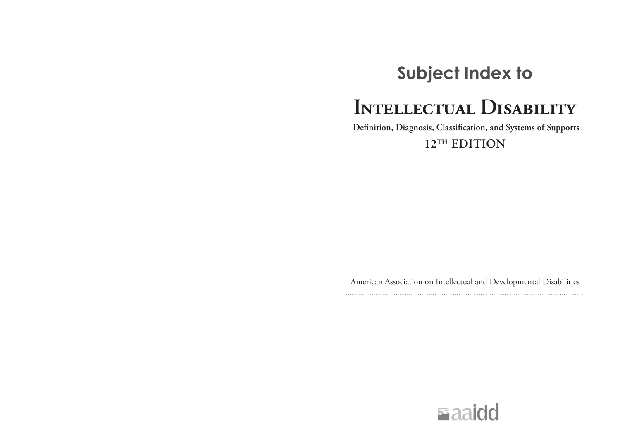## **Subject Index to**

# **Intellectual Disability**

 **Definition, Diagnosis, Classification, and Systems of Supports**

**12TH EDITION**

American Association on Intellectual and Developmental Disabilities

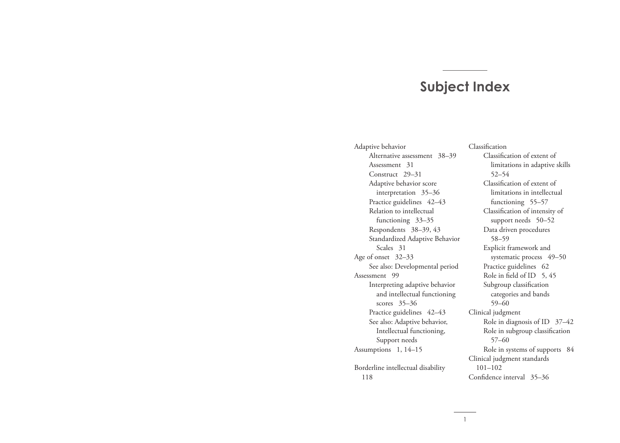### **Subject Index**

Adaptive behavior Alternative assessment 38–39 Assessment 31 Construct 29–31 Adaptive behavior score interpretation 35–36 Practice guidelines 42-43 Relation to intellectual functioning 33–35 Respondents 38–39, 43 Standardized Adaptive Behavior Scales 31 Age of onset 32–33 See also: Developmental period Assessment 99 Interpreting adaptive behavior and intellectual functioning scores 35–36 Practice guidelines 42-43 See also: Adaptive behavior, Intellectual functioning, Support needs Assumptions 1, 14–15 Borderline intellectual disability 118

Classification Classification of extent of limitations in adaptive skills 52–54 Classification of extent of limitations in intellectual functioning 55–57 Classification of intensity of support needs 50–52 Data driven procedures 58–59 Explicit framework and systematic process 49-50 Practice guidelines 62 Role in field of ID 5, 45 Subgroup classification categories and bands 59–60 Clinical judgment Role in diagnosis of ID 37–42 Role in subgroup classification 57–60 Role in systems of supports 84 Clinical judgment standards 101–102 Confidence interval 35–36